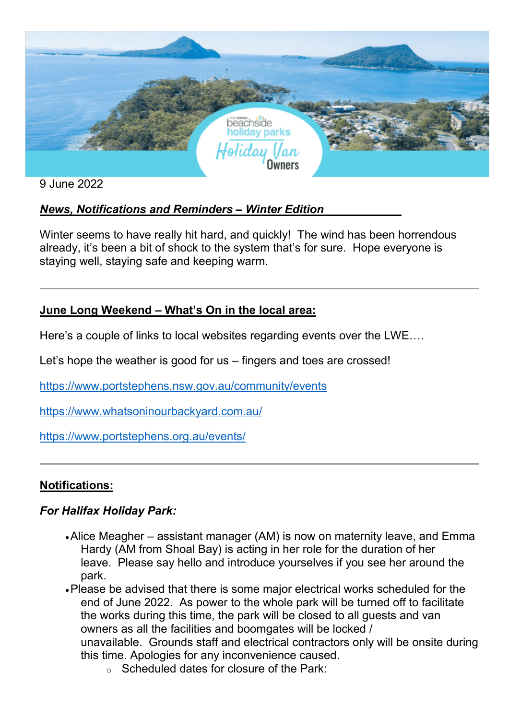

9 June 2022

# *News, Notifications and Reminders – Winter Edition*

Winter seems to have really hit hard, and quickly! The wind has been horrendous already, it's been a bit of shock to the system that's for sure. Hope everyone is staying well, staying safe and keeping warm.

# **June Long Weekend – What's On in the local area:**

Here's a couple of links to local websites regarding events over the LWE….

Let's hope the weather is good for us – fingers and toes are crossed!

[https://www.portstephens.nsw.gov.au/community/events](http://click.newbook.cloud/ls/click?upn=J-2BCTyXpemGG0C1mYjzMMzq7SHWwMaJMIHTOeT57Br1wbAPVv7gxt9ZdldGG-2B-2Fm7jPZ5R1S-2BU-2BoFzuFlK7lnE5-2BoX2W4V5ZJZTLtKOik-2BfCwuJXKhhEbUuJ6mqKM1Vy1dvZXZVC2rgfus4Otzp68sZqbXBtyZZxjPSCfsnpx6vMJm-2Bm6ZGoExQsrDh32CAbWdnvzfo2CEXUm2LNQH7XOeN-2B8gVRMeJHXxUGMO7bDcw7iN30RPOFumVss8PB0katjnRwS0NW5N50kAu7gIEnhpMALstDPgRO-2B-2B1aBNAutS5ds4Rmvb7mt0RiGPzO-2FP1k4Iscf976bGzacIpYP7uG5LWs1k-2BPKzqzYit7gi2TzDvlGzXP-2BCfeQGmZywE0HfH9FXHQ9naA0ZLOF5Ekt5HQ3uV0zy1fuxSLa8XhkkBHc-2FPX5fzKyunw4onwFqFScjxVHJmkUpBTiu0AfsQuqe9Aes6WBxu33LJcy0FKNkim-2BMce-2BvxmahW-2BFCEngg46yUzaj1I5Yrd2AoBm-2F-2FubOn-2BCGfH2SbWb-2FSE9BCeruKNdowZ2cMyKlWk2tDO6iNvJX3N53BIYkMcoWEVuvKy8qgszdBhLjdZAlmOOoE-2BcsKsXVAGKGvowJlqv4elqDwL3352Vk6RsMJfKda8tFThXo4bHfB4i306LxakakEjRm8tyU-2BZp-2B6nRJjsq8RDGQig2d1ZQmanBdU1V-2B2Lio3xThJyJxWng-3D-3DGDEE_voRPCGGu7WWp5xnKnWj8DwLZurFteTSMNp-2FxqmP1pVtBs-2B-2FdpELAs2H-2BlXcpP05kZrp6JlivBIOxVq6Fxwsgd-2FIEWFOFeWqckV2hnrxT06G9wT-2BD5EkMmNOjHSt-2FFhsMST5-2F-2Fodxcd8PT9hphLq16kE10xEXRiyPuuLwajyHlarhKcXKR0Sm6S8l5wIu1sv2bzci7KuRRDDMNgPgPi-2FP-2F3k7XPdy36joQnCLAUiuC1-2BxpXh-2B4NKO6EncF-2Bjkstx9yxrofblylMqrtleIuyD6aSXtdqkYlVgjDjBEYAG9ys4n5Z2jjIumf5ek-2BB3iFxeQKOiZLYG0GB4ju3P8tyeNXE-2B11ifqhNd8D-2FtXUncc6cNPGhNoH5MceomqS1evfu6U)

[https://www.whatsoninourbackyard.com.au/](http://click.newbook.cloud/ls/click?upn=J-2BCTyXpemGG0C1mYjzMMzq7SHWwMaJMIHTOeT57Br1wbAPVv7gxt9ZdldGG-2B-2Fm7jPZ5R1S-2BU-2BoFzuFlK7lnE578ehUYgP-2Fs3HtGIo6R6HGODnt9mS8n0O0yTxaVUzUy-2FG3k-2Ba3GZ81DD7DUFRilcwdr8Ml6TYdVXwU0tea57zoCDBKFCsBebm6m0Cl-2BJvzxAd4JgwIhSvoZZzsZtJlzmXA4nkvk6j4JLzZ38J8Au2obtbTUHTnPTslCtOW5xQzHfDY9YyOxWeD8IeXl9ai4kQinqVYzM8Ops3vOTJSCnGF8Daz83um5CT6M9gbQ9tOeEAmXqT8NdLcLJ-2BQBlwz44Jbu7edTyJXW7Gy4OV9-2BIQtzOWnmdP7-2FohOW5UM9MZAWxgw3M35p7pnbmO-2FUwW33Ck0-2FuBdYvWDn5hvr54Qdc5e6i84iB-2FTvUwii3oZJ6uc-2FBGUyH67IKZL-2FHItvWFrdtSaUelzFUm3pETefb4NKnlgi0OPOBP-2FfgsENDNGnoYLqluTZDgVycjsmAaJoJyiQvqcwpCxwO78zVkac2fl0pQTh-2Ft9-2Fdp6JtjdBJnXLpHHC1QH35mehnE7eOItAPZ00xMpv5GnpigdfGC4dEGIwLWz4Impp5iIH4d-2FQcMVfxBQ9yZ2Xk77Q-2Bq5PQORJnly2HN8zk2JxsEjvGzunppotT7Uk-3D42GG_voRPCGGu7WWp5xnKnWj8DwLZurFteTSMNp-2FxqmP1pVtBs-2B-2FdpELAs2H-2BlXcpP05kZrp6JlivBIOxVq6Fxwsgd-2FIEWFOFeWqckV2hnrxT06G9wT-2BD5EkMmNOjHSt-2FFhsMST5-2F-2Fodxcd8PT9hphLq16kE10xEXRiyPuuLwajyHlarhKcXKR0Sm6S8l5wIu1sv2bzci7KuRRDDMNgPgPi-2FP-2FzT4XgRhw2S8iqV5CKXEZ-2FNKSECotS4JRzPZJLBMZQQHEjdefnloixerrnX0YCOHbn5pOSHsB6NLli7dDu7xdNxXpTu6CbAbKRYl-2BK1bCf-2BC0tO1D1LztkETVkqtsmvKNP8ukszxBrv6-2BnrEyuMTSlOKSv-2BSHW-2BGHcirug3Mpcyy)

[https://www.portstephens.org.au/events/](http://click.newbook.cloud/ls/click?upn=J-2BCTyXpemGG0C1mYjzMMzq7SHWwMaJMIHTOeT57Br1wbAPVv7gxt9ZdldGG-2B-2Fm7jPZ5R1S-2BU-2BoFzuFlK7lnE5-2BoX2W4V5ZJZTLtKOik-2BfCyj6XFHfJ2e2XRrKQ5-2BzcUTqWl7ShcAn9ycFpfBEIqyQSo32tQhg7qhyjjfoeN4oeJhM6w9LFIxGVLCpupBAxxB21MbG0b45LPO7pB7e4hs-2FMq9q2Js5fCpKmkqZePwQISHreiff03P-2FrJQ45fDMIvqNs3WE5EBNOiq-2BTAZKB1loUCqHLNILGWzVWWf-2BtRRY2vs3OQ3ncfSQaZL6aoWspqyQgKCypLaxhHN8JniqyA3puVPDoHAzw11ULi7jGOhMHlwYCnpjJ-2FmKGDXzocn2gUXPVNGSH7vtKalkmeeZiDaL2UaEeNta-2FtrdiqMLp0GDncwLIm8ZZSOZANQQkuUUBkHm4I2B-2FBhWuVSLEP36fQKrjGe-2BmWl3zwsNLeqxVA0fh-2FP5KGolY3FCgFST9je47wYMW2SRf4-2FguukFhBh4G0vAA2UOxDXgTvY9aUeq8ilF-2F7S0Y27ifqf-2FYCd37SVXF7qh9XdVBIrBQKI1KbNcjZc7kkFpPDDvqdczqS3BaeO3-2Fae0dX-2F2kRVwLX-2BGMWm1wvOC-2F0ZeRQonTzTX2ZOv9PCNlASzOGIl-2FJxZ0SuLRez37bi66vC9Cmnby5WAvI8VzONU7Qb_voRPCGGu7WWp5xnKnWj8DwLZurFteTSMNp-2FxqmP1pVtBs-2B-2FdpELAs2H-2BlXcpP05kZrp6JlivBIOxVq6Fxwsgd-2FIEWFOFeWqckV2hnrxT06G9wT-2BD5EkMmNOjHSt-2FFhsMST5-2F-2Fodxcd8PT9hphLq16kE10xEXRiyPuuLwajyHlarhKcXKR0Sm6S8l5wIu1sv2bzci7KuRRDDMNgPgPi-2FP-2Fw8BZThdtQCDpEZKjGwdEU9i-2FrW6c2dcnjMGIXWfp0c7JSUKlukcaCZ2hI19v4HOx98XS7Nly3HnceYRK10a8FTDm349sjxyegOIj9bNDCyDPnZvP6S4-2BMwcB9PbtjKIZIWQ2JqYm4FOw-2FEdf5ZomyAY9sTV1TnY15pT9Jn0qHmr)

# **Notifications:**

# *For Halifax Holiday Park:*

- •Alice Meagher assistant manager (AM) is now on maternity leave, and Emma Hardy (AM from Shoal Bay) is acting in her role for the duration of her leave. Please say hello and introduce yourselves if you see her around the park.
- •Please be advised that there is some major electrical works scheduled for the end of June 2022. As power to the whole park will be turned off to facilitate the works during this time, the park will be closed to all guests and van owners as all the facilities and boomgates will be locked / unavailable. Grounds staff and electrical contractors only will be onsite during this time. Apologies for any inconvenience caused.
	- <sup>o</sup> Scheduled dates for closure of the Park: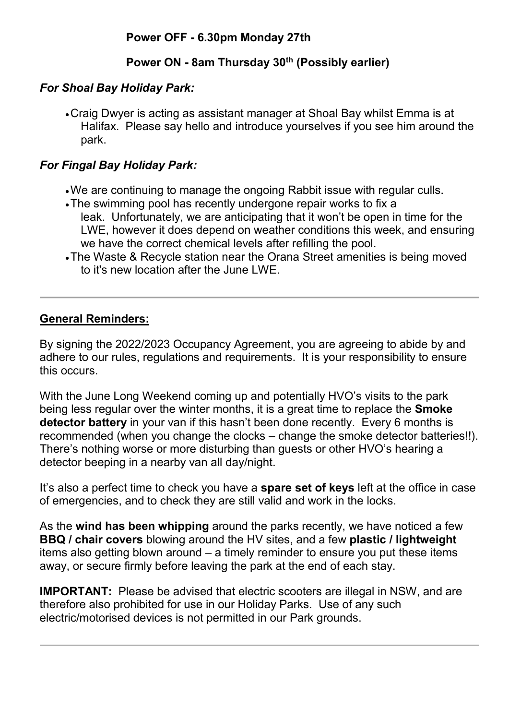# **Power ON - 8am Thursday 30th (Possibly earlier)**

#### *For Shoal Bay Holiday Park:*

•Craig Dwyer is acting as assistant manager at Shoal Bay whilst Emma is at Halifax. Please say hello and introduce yourselves if you see him around the park.

# *For Fingal Bay Holiday Park:*

- •We are continuing to manage the ongoing Rabbit issue with regular culls.
- •The swimming pool has recently undergone repair works to fix a leak. Unfortunately, we are anticipating that it won't be open in time for the LWE, however it does depend on weather conditions this week, and ensuring we have the correct chemical levels after refilling the pool.
- •The Waste & Recycle station near the Orana Street amenities is being moved to it's new location after the June LWE.

# **General Reminders:**

By signing the 2022/2023 Occupancy Agreement, you are agreeing to abide by and adhere to our rules, regulations and requirements. It is your responsibility to ensure this occurs.

With the June Long Weekend coming up and potentially HVO's visits to the park being less regular over the winter months, it is a great time to replace the **Smoke detector battery** in your van if this hasn't been done recently. Every 6 months is recommended (when you change the clocks – change the smoke detector batteries!!). There's nothing worse or more disturbing than guests or other HVO's hearing a detector beeping in a nearby van all day/night.

It's also a perfect time to check you have a **spare set of keys** left at the office in case of emergencies, and to check they are still valid and work in the locks.

As the **wind has been whipping** around the parks recently, we have noticed a few **BBQ / chair covers** blowing around the HV sites, and a few **plastic / lightweight** items also getting blown around – a timely reminder to ensure you put these items away, or secure firmly before leaving the park at the end of each stay.

**IMPORTANT:** Please be advised that electric scooters are illegal in NSW, and are therefore also prohibited for use in our Holiday Parks. Use of any such electric/motorised devices is not permitted in our Park grounds.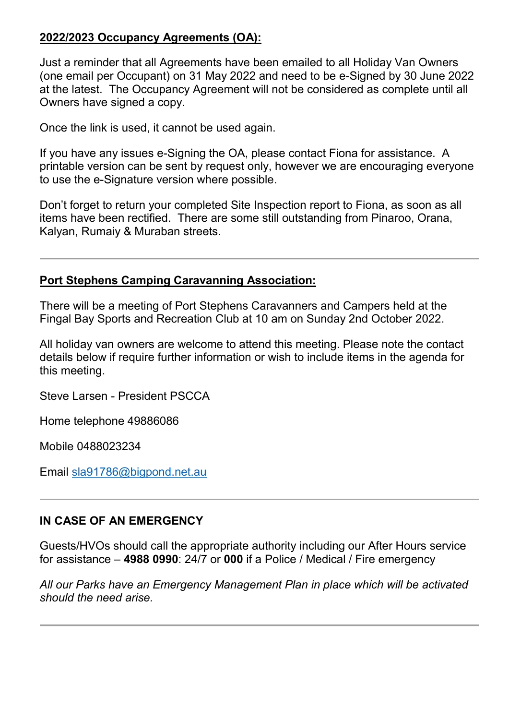#### **2022/2023 Occupancy Agreements (OA):**

Just a reminder that all Agreements have been emailed to all Holiday Van Owners (one email per Occupant) on 31 May 2022 and need to be e-Signed by 30 June 2022 at the latest. The Occupancy Agreement will not be considered as complete until all Owners have signed a copy.

Once the link is used, it cannot be used again.

If you have any issues e-Signing the OA, please contact Fiona for assistance. A printable version can be sent by request only, however we are encouraging everyone to use the e-Signature version where possible.

Don't forget to return your completed Site Inspection report to Fiona, as soon as all items have been rectified. There are some still outstanding from Pinaroo, Orana, Kalyan, Rumaiy & Muraban streets.

#### **Port Stephens Camping Caravanning Association:**

There will be a meeting of Port Stephens Caravanners and Campers held at the Fingal Bay Sports and Recreation Club at 10 am on Sunday 2nd October 2022.

All holiday van owners are welcome to attend this meeting. Please note the contact details below if require further information or wish to include items in the agenda for this meeting.

Steve Larsen - President PSCCA

Home telephone 49886086

Mobile 0488023234

Email [sla91786@bigpond.net.au](mailto:sla91786@bigpond.net.au)

#### **IN CASE OF AN EMERGENCY**

Guests/HVOs should call the appropriate authority including our After Hours service for assistance – **4988 0990**: 24/7 or **000** if a Police / Medical / Fire emergency

*All our Parks have an Emergency Management Plan in place which will be activated should the need arise.*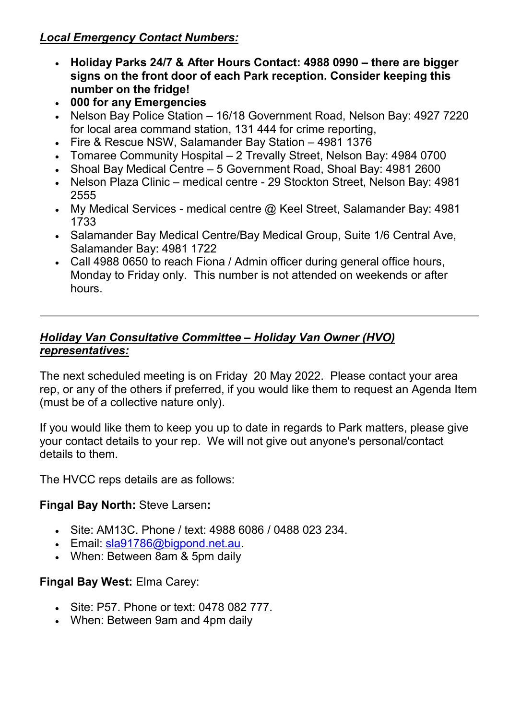# *Local Emergency Contact Numbers:*

- **Holiday Parks 24/7 & After Hours Contact: 4988 0990 – there are bigger signs on the front door of each Park reception. Consider keeping this number on the fridge!**
- **000 for any Emergencies**
- Nelson Bay Police Station 16/18 Government Road, Nelson Bay: 4927 7220 for local area command station, 131 444 for crime reporting,
- Fire & Rescue NSW, Salamander Bay Station 4981 1376
- Tomaree Community Hospital 2 Trevally Street, Nelson Bay: 4984 0700
- Shoal Bay Medical Centre 5 Government Road, Shoal Bay: 4981 2600
- Nelson Plaza Clinic medical centre 29 Stockton Street, Nelson Bay: 4981 2555
- My Medical Services medical centre  $@$  Keel Street, Salamander Bay: 4981 1733
- Salamander Bay Medical Centre/Bay Medical Group, Suite 1/6 Central Ave, Salamander Bay: 4981 1722
- Call 4988 0650 to reach Fiona / Admin officer during general office hours, Monday to Friday only. This number is not attended on weekends or after hours.

#### *Holiday Van Consultative Committee – Holiday Van Owner (HVO) representatives:*

The next scheduled meeting is on Friday 20 May 2022. Please contact your area rep, or any of the others if preferred, if you would like them to request an Agenda Item (must be of a collective nature only).

If you would like them to keep you up to date in regards to Park matters, please give your contact details to your rep. We will not give out anyone's personal/contact details to them.

The HVCC reps details are as follows:

# **Fingal Bay North:** Steve Larsen**:**

- Site: AM13C. Phone / text: 4988 6086 / 0488 023 234.
- Email: [sla91786@bigpond.net.au.](mailto:sla91786@bigpond.net.au)
- When: Between 8am & 5pm daily

# **Fingal Bay West:** Elma Carey:

- Site: P57. Phone or text: 0478 082 777.
- When: Between 9am and 4pm daily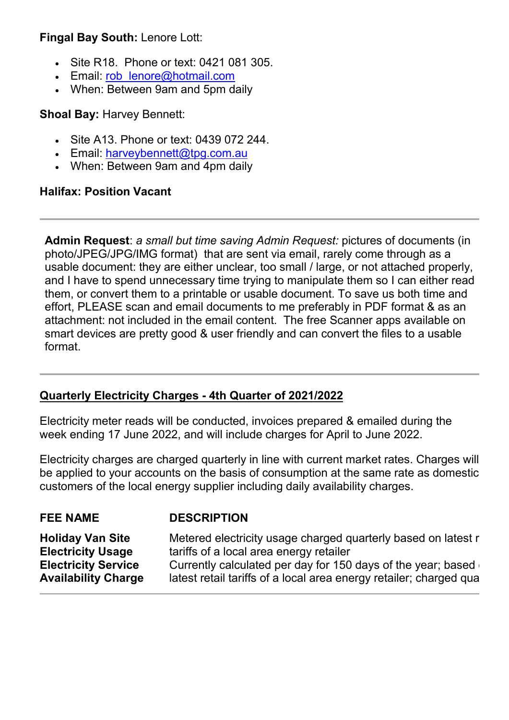#### **Fingal Bay South:** Lenore Lott:

- Site R18. Phone or text: 0421 081 305.
- Email: rob lenore@hotmail.com
- When: Between 9am and 5pm daily

#### **Shoal Bay:** Harvey Bennett:

- Site A13. Phone or text: 0439 072 244.
- Email: [harveybennett@tpg.com.au](mailto:harveybennett@tpg.com.au)
- When: Between 9am and 4pm daily

#### **Halifax: Position Vacant**

**Admin Request**: *a small but time saving Admin Request:* pictures of documents (in photo/JPEG/JPG/IMG format) that are sent via email, rarely come through as a usable document: they are either unclear, too small / large, or not attached properly, and I have to spend unnecessary time trying to manipulate them so I can either read them, or convert them to a printable or usable document. To save us both time and effort, PLEASE scan and email documents to me preferably in PDF format & as an attachment: not included in the email content. The free Scanner apps available on smart devices are pretty good & user friendly and can convert the files to a usable format.

#### **Quarterly Electricity Charges - 4th Quarter of 2021/2022**

Electricity meter reads will be conducted, invoices prepared & emailed during the week ending 17 June 2022, and will include charges for April to June 2022.

Electricity charges are charged quarterly in line with current market rates. Charges will be applied to your accounts on the basis of consumption at the same rate as domestic customers of the local energy supplier including daily availability charges.

# **FEE NAME DESCRIPTION**

**Holiday Van Site Electricity Usage Electricity Service Availability Charge**

Metered electricity usage charged quarterly based on latest r tariffs of a local area energy retailer Currently calculated per day for 150 days of the year; based  $\overline{a}$ latest retail tariffs of a local area energy retailer; charged qua